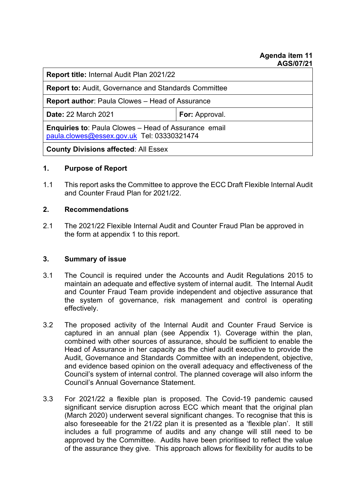#### **Agenda item 11 AGS/07/21**

| <b>Report title: Internal Audit Plan 2021/22</b>                                                          |                       |
|-----------------------------------------------------------------------------------------------------------|-----------------------|
| <b>Report to: Audit, Governance and Standards Committee</b>                                               |                       |
| <b>Report author: Paula Clowes – Head of Assurance</b>                                                    |                       |
| <b>Date: 22 March 2021</b>                                                                                | <b>For: Approval.</b> |
| <b>Enquiries to: Paula Clowes - Head of Assurance email</b><br>paula.clowes@essex.gov.uk Tel: 03330321474 |                       |
| <b>County Divisions affected: All Essex</b>                                                               |                       |

## **1. Purpose of Report**

1.1 This report asks the Committee to approve the ECC Draft Flexible Internal Audit and Counter Fraud Plan for 2021/22.

#### **2. Recommendations**

2.1 The 2021/22 Flexible Internal Audit and Counter Fraud Plan be approved in the form at appendix 1 to this report.

## **3. Summary of issue**

- 3.1 The Council is required under the Accounts and Audit Regulations 2015 to maintain an adequate and effective system of internal audit. The Internal Audit and Counter Fraud Team provide independent and objective assurance that the system of governance, risk management and control is operating effectively.
- 3.2 The proposed activity of the Internal Audit and Counter Fraud Service is captured in an annual plan (see Appendix 1). Coverage within the plan, combined with other sources of assurance, should be sufficient to enable the Head of Assurance in her capacity as the chief audit executive to provide the Audit, Governance and Standards Committee with an independent, objective, and evidence based opinion on the overall adequacy and effectiveness of the Council's system of internal control. The planned coverage will also inform the Council's Annual Governance Statement.
- 3.3 For 2021/22 a flexible plan is proposed. The Covid-19 pandemic caused significant service disruption across ECC which meant that the original plan (March 2020) underwent several significant changes. To recognise that this is also foreseeable for the 21/22 plan it is presented as a 'flexible plan'. It still includes a full programme of audits and any change will still need to be approved by the Committee. Audits have been prioritised to reflect the value of the assurance they give. This approach allows for flexibility for audits to be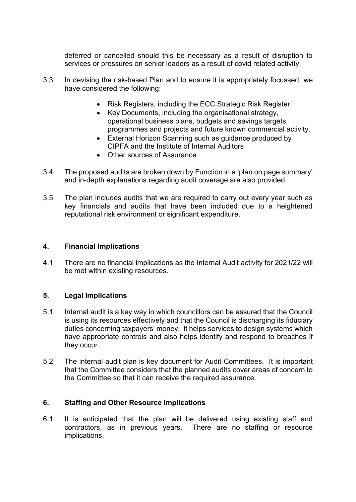deferred or cancelled should this be necessary as a result of disruption to services or pressures on senior leaders as a result of covid related activity.

- 3.3 In devising the risk-based Plan and to ensure it is appropriately focussed, we have considered the following:
	- Risk Registers, including the ECC Strategic Risk Register
	- Key Documents, including the organisational strategy, operational business plans, budgets and savings targets, programmes and projects and future known commercial activity.
	- External Horizon Scanning such as guidance produced by CIPFA and the Institute of Internal Auditors
	- Other sources of Assurance
- 3.4 The proposed audits are broken down by Function in a 'plan on page summary' and in-depth explanations regarding audit coverage are also provided.
- 3.5 The plan includes audits that we are required to carry out every year such as key financials and audits that have been included due to a heightened reputational risk environment or significant expenditure.

#### **4. Financial Implications**

4.1 There are no financial implications as the Internal Audit activity for 2021/22 will be met within existing resources.

## **5. Legal Implications**

- 5.1 Internal audit is a key way in which councillors can be assured that the Council is using its resources effectively and that the Council is discharging its fiduciary duties concerning taxpayers' money. It helps services to design systems which have appropriate controls and also helps identify and respond to breaches if they occur.
- 5.2 The internal audit plan is key document for Audit Committees. It is important that the Committee considers that the planned audits cover areas of concern to the Committee so that it can receive the required assurance.

## **6. Staffing and Other Resource Implications**

6.1 It is anticipated that the plan will be delivered using existing staff and contractors, as in previous years. There are no staffing or resource implications.